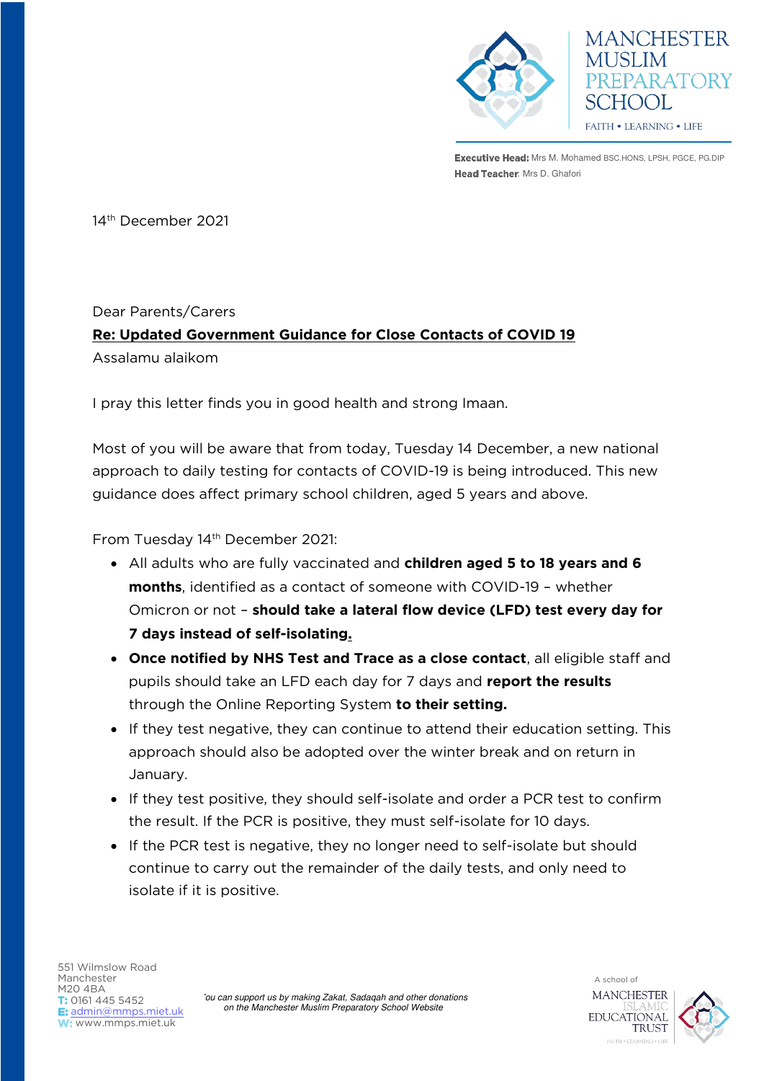

**MANCHESTER PREPARATORY** SCHOOL FAITH . LEARNING . LIFE

**Executive Head:** Mrs M. Mohamed BSC.HONS, LPSH, PGCE, PG.DIP Head Teacher: Mrs D. Ghafori

14th December 2021

## Dear Parents/Carers **Re: Updated Government Guidance for Close Contacts of COVID 19**  Assalamu alaikom

I pray this letter finds you in good health and strong Imaan.

Most of you will be aware that from today, Tuesday 14 December, a new national approach to daily testing for contacts of COVID-19 is being introduced. This new guidance does affect primary school children, aged 5 years and above.

From Tuesday 14<sup>th</sup> December 2021:

- All adults who are fully vaccinated and **children aged 5 to 18 years and 6 months**, identified as a contact of someone with COVID-19 – whether Omicron or not – **should take a lateral flow device (LFD) test every day for 7 days instead of self-isolating.**
- **Once notified by NHS Test and Trace as a close contact**, all eligible staff and pupils should take an LFD each day for 7 days and **report the results**  through the Online Reporting System **to their setting.**
- If they test negative, they can continue to attend their education setting. This approach should also be adopted over the winter break and on return in January.
- If they test positive, they should self-isolate and order a PCR test to confirm the result. If the PCR is positive, they must self-isolate for 10 days.
- If the PCR test is negative, they no longer need to self-isolate but should continue to carry out the remainder of the daily tests, and only need to isolate if it is positive.